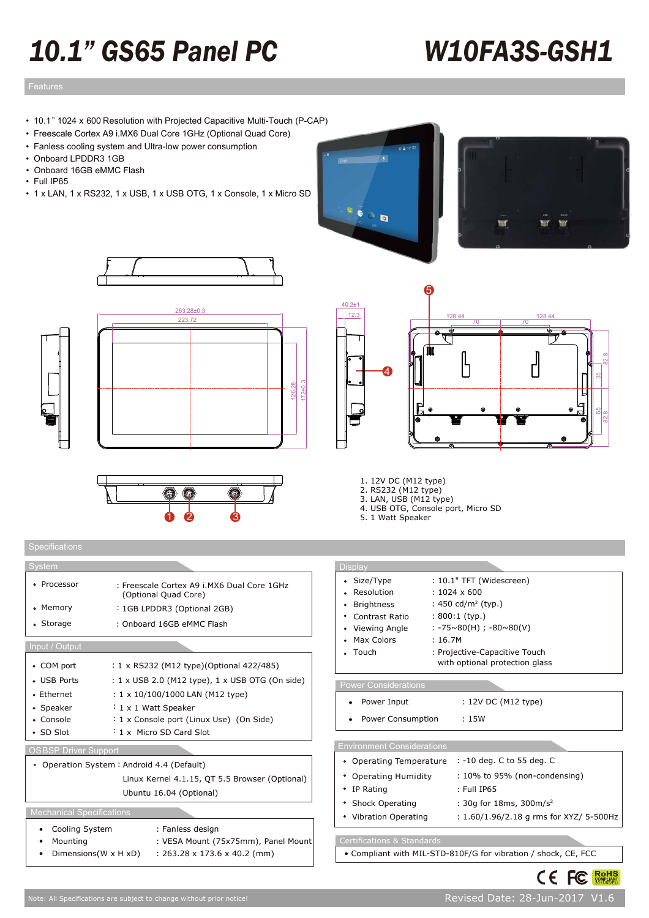# *10.1" GS65 Panel PC W10FA3S-GSH1*

## Features design Features design Features des Santanas de Santanas de Santanas de Santanas de Santanas de Santa<br>Estados de Santanas de Santanas de Santanas de Santanas de Santanas de Santanas de Santanas de Santanas de San

- 10.1" 1024 x 600 Resolution with Projected Capacitive Multi-Touch (P-CAP)
- Freescale Cortex A9 i.MX6 Dual Core 1GHz (Optional Quad Core)
- Fanless cooling system and Ultra-low power consumption
- Onboard LPDDR3 1GB
- Onboard 16GB eMMC Flash
- Full IP65
- 1 x LAN, 1 x RS232, 1 x USB, 1 x USB OTG, 1 x Console, 1 x Micro SD















- 2. RS232 (M12 type)
- 3. LAN, USB (M12 type) 4. USB OTG, Console port, Micro SD
- 5. 1 Watt Speaker
- 

| System                           |                                                                    | <b>Display</b>                    |                                                           |
|----------------------------------|--------------------------------------------------------------------|-----------------------------------|-----------------------------------------------------------|
| • Processor                      | : Freescale Cortex A9 i.MX6 Dual Core 1GHz<br>(Optional Quad Core) | • Size/Type<br>• Resolution       | : 10.1" TFT (Widescreen)<br>$: 1024 \times 600$           |
| • Memory                         | : 1GB LPDDR3 (Optional 2GB)                                        | • Brightness                      | : 450 cd/m <sup>2</sup> (typ.)                            |
| • Storage                        | : Onboard 16GB eMMC Flash                                          | Contrast Ratio<br>• Viewing Angle | $: 800:1$ (typ.)<br>$: -75 \sim 80(H)$ ; $-80 \sim 80(V)$ |
| Input / Output                   |                                                                    | • Max Colors<br>• Touch           | : 16.7M<br>: Projective-Capacitive Touch                  |
| • COM port                       | : 1 x RS232 (M12 type)(Optional 422/485)                           |                                   | with optional protection glass                            |
| • USB Ports                      | : 1 x USB 2.0 (M12 type), 1 x USB OTG (On side)                    | <b>Power Considerations</b>       |                                                           |
| • Ethernet                       | : $1 \times 10/100/1000$ LAN (M12 type)                            |                                   |                                                           |
| • Speaker                        | $: 1 \times 1$ Watt Speaker                                        | Power Input<br>٠                  | : 12V DC (M12 type)                                       |
| • Console                        | : 1 x Console port (Linux Use) (On Side)                           | Power Consumption                 | :15W                                                      |
| • SD Slot                        | : 1 x Micro SD Card Slot                                           |                                   |                                                           |
| <b>OSBSP Driver Support</b>      |                                                                    | <b>Environment Considerations</b> |                                                           |
|                                  | • Operation System : Android 4.4 (Default)                         | • Operating Temperature           | : -10 deg. C to 55 deg. C                                 |
|                                  | Linux Kernel 4.1.15, QT 5.5 Browser (Optional)                     | • Operating Humidity              | : 10% to 95% (non-condensing)                             |
|                                  | Ubuntu 16.04 (Optional)                                            | • IP Rating                       | : Full IP65                                               |
|                                  |                                                                    | • Shock Operating                 | : 30g for 18ms, 300m/s <sup>2</sup>                       |
| <b>Mechanical Specifications</b> |                                                                    | • Vibration Operating             | : 1.60/1.96/2.18 g rms for XYZ/ 5-500Hz                   |
| Cooling System<br>٠              | : Fanless design                                                   |                                   |                                                           |
| Mounting                         | : VESA Mount (75x75mm), Panel Mount                                | Certifications & Standards        |                                                           |

#### • Compliant with MIL-STD-810F/G for vibration / shock, CE, FCC



Dimensions(W x H xD) : 263.28 x 173.6 x 40.2 (mm)